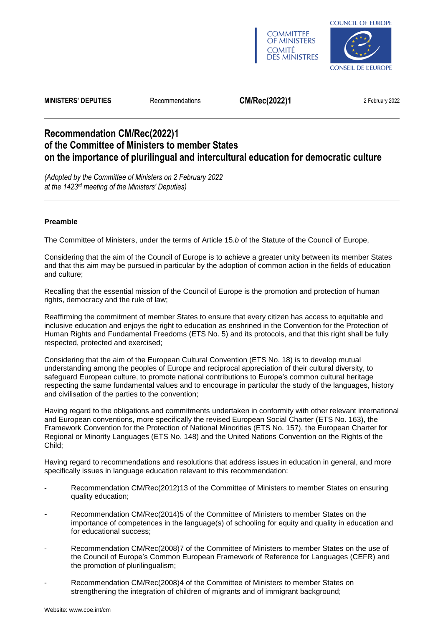



**MINISTERS' DEPUTIES** Recommendations **CM/Rec(2022)1** 2 February 2022

# **Recommendation CM/Rec(2022)1 of the Committee of Ministers to member States on the importance of plurilingual and intercultural education for democratic culture**

*(Adopted by the Committee of Ministers on 2 February 2022 at the 1423rd meeting of the Ministers' Deputies)*

# **Preamble**

The Committee of Ministers, under the terms of Article 15.*b* of the Statute of the Council of Europe,

Considering that the aim of the Council of Europe is to achieve a greater unity between its member States and that this aim may be pursued in particular by the adoption of common action in the fields of education and culture;

Recalling that the essential mission of the Council of Europe is the promotion and protection of human rights, democracy and the rule of law;

Reaffirming the commitment of member States to ensure that every citizen has access to equitable and inclusive education and enjoys the right to education as enshrined in the Convention for the Protection of Human Rights and Fundamental Freedoms [\(ETS No.](https://rm.coe.int/1680063765) 5) and its protocols, and that this right shall be fully respected, protected and exercised;

Considering that the aim of the European Cultural Convention [\(ETS](https://rm.coe.int/CoERMPublicCommonSearchServices/DisplayDCTMContent?documentId=090000168006457e) No. 18) is to develop mutual understanding among the peoples of Europe and reciprocal appreciation of their cultural diversity, to safeguard European culture, to promote national contributions to Europe's common cultural heritage respecting the same fundamental values and to encourage in particular the study of the languages, history and civilisation of the parties to the convention;

Having regard to the obligations and commitments undertaken in conformity with other relevant international and European conventions, more specifically the revised European Social Charter [\(ETS No.](https://rm.coe.int/168007cf93) 163), the Framework Convention for the Protection of National Minorities [\(ETS No.](https://rm.coe.int/168007cdac) 157), the European Charter for Regional or Minority Languages [\(ETS No.](https://rm.coe.int/1680695175) 148) and the United Nations [Convention on the Rights of the](https://www.unicef.org/child-rights-convention/convention-text)  [Child;](https://www.unicef.org/child-rights-convention/convention-text)

Having regard to recommendations and resolutions that address issues in education in general, and more specifically issues in language education relevant to this recommendation:

- Recommendation [CM/Rec\(2012\)13](https://search.coe.int/cm/Pages/result_details.aspx?Reference=CM/Rec(2012)13) of the Committee of Ministers to member States on ensuring quality education;
- Recommendation [CM/Rec\(2014\)5](https://search.coe.int/cm/Pages/result_details.aspx?Reference=CM/Rec(2014)5) of the Committee of Ministers to member States on the importance of competences in the language(s) of schooling for equity and quality in education and for educational success;
- Recommendation [CM/Rec\(2008\)7](https://search.coe.int/cm/Pages/result_details.aspx?Reference=CM/Rec(2008)7) of the Committee of Ministers to member States on the use of the Council of Europe's Common European Framework of Reference for Languages (CEFR) and the promotion of plurilingualism;
- Recommendation [CM/Rec\(2008\)4](https://search.coe.int/cm/Pages/result_details.aspx?Reference=CM/Rec(2008)4) of the Committee of Ministers to member States on strengthening the integration of children of migrants and of immigrant background;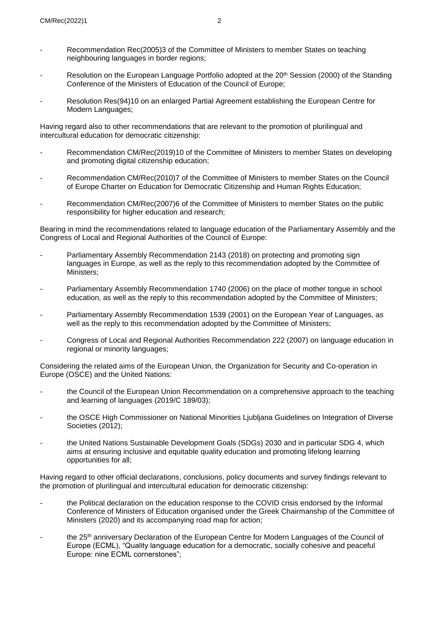- Recommendation [Rec\(2005\)3](https://search.coe.int/cm/Pages/result_details.aspx?Reference=Rec(2005)3) of the Committee of Ministers to member States on teaching neighbouring languages in border regions;
- Resolution on the European Language Portfolio adopted at the 20<sup>th</sup> Session [\(2000\)](http://rm.coe.int/CoERMPublicCommonSearchServices/DisplayDCTMContent?documentId=09000016804595af) of the Standing Conference of the Ministers of Education of the Council of Europe;
- Resolution Re[s\(94\)10](https://search.coe.int/cm/Pages/result_details.aspx?ObjectID=09000016804c3764) on an enlarged Partial Agreement establishing the European Centre for Modern Languages;

Having regard also to other recommendations that are relevant to the promotion of plurilingual and intercultural education for democratic citizenship:

- Recommendation [CM/Rec\(2019\)10](https://search.coe.int/cm/Pages/result_details.aspx?Reference=CM/Rec(2019)10) of the Committee of Ministers to member States on developing and promoting digital citizenship education;
- Recommendation [CM/Rec\(2010\)7](https://search.coe.int/cm/Pages/result_details.aspx?Reference=CM/Rec(2010)7) of the Committee of Ministers to member States on the Council of Europe Charter on Education for Democratic Citizenship and Human Rights Education;
- Recommendation [CM/Rec\(2007\)6](https://search.coe.int/cm/Pages/result_details.aspx?Reference=CM/Rec(2007)6) of the Committee of Ministers to member States on the public responsibility for higher education and research;

Bearing in mind the recommendations related to language education of the Parliamentary Assembly and the Congress of Local and Regional Authorities of the Council of Europe:

- Parliamentary Assembly Recommendation 2143 [\(2018\)](https://pace.coe.int/en/files/25212) on protecting and promoting sign languages in Europe, as well as the reply to this recommendation adopted by the Committee of Ministers;
- Parliamentary Assembly Recommendation 1740 [\(2006\)](https://pace.coe.int/files/17421/pdf) on the place of mother tongue in school education, as well as the reply to this recommendation adopted by the Committee of Ministers;
- Parliamentary Assembly Recommendation 1539 [\(2001\)](http://assembly.coe.int/nw/xml/XRef/Xref-XML2HTML-EN.asp?fileid=16954) on the European Year of Languages, as well as the reply to this recommendation adopted by the Committee of Ministers;
- Congress of Local and Regional Authorities Recommendation 222 [\(2007\)](https://rm.coe.int/language-education-in-regional-or-minority-languages-rapporteurs-a-j-m/168071919f) on language education in regional or minority languages;

Considering the related aims of the European Union, the Organization for Security and Co-operation in Europe (OSCE) and the United Nations:

- the Council of the European Union Recommendation on a comprehensive approach to the teaching and learning of languages [\(2019/C](https://eur-lex.europa.eu/legal-content/EN/TXT/PDF/?uri=CELEX:32019H0605(02)&from=EN) 189/03);
- the OSCE High Commissioner on National Minorities Ljubljana [Guidelines](https://www.osce.org/hcnm/ljubljana-guidelines) on Integration of Diverse [Societies](https://www.osce.org/hcnm/ljubljana-guidelines) (2012);
- the [United Nations Sustainable Development Goals \(SDGs\) 2030](https://www.un.org/ga/search/view_doc.asp?symbol=A/RES/70/1&Lang=E) and in particular [SDG 4,](https://sdgs.un.org/goals/goal4) which aims at ensuring inclusive and equitable quality education and promoting lifelong learning opportunities for all;

Having regard to other official declarations, conclusions, policy documents and survey findings relevant to the promotion of plurilingual and intercultural education for democratic citizenship:

- the [Political declaration on the education response to t](https://rm.coe.int/the-education-response-to-the-covid-crisis-political-declaration-for-t/16809fee7a)he COVID crisis endorsed by the Informal Conference of Ministers of Education organised under the Greek Chairmanship of the Committee of Ministers [\(2020\)](https://www.coe.int/en/web/education/informal-conf-ministers-education-oct2020) and its accompanying road [map for action;](https://rm.coe.int/making-the-right-to-education-a-reality-in-times-of-covid-19-a-roadmap/16809fee7b)
- the 25<sup>th</sup> [anniversary Declaration](https://www.ecml.at/Aboutus/Declaration/tabid/5454/language/en-GB/Default.aspx) of the European Centre for Modern Languages of the Council of Europe (ECML), "Quality language education for a democratic, socially cohesive and peaceful Europe: nine ECML cornerstones";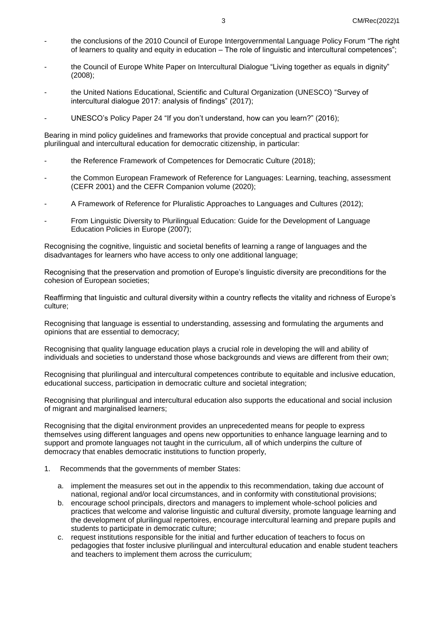- the conclusions of the 2010 Council of Europe [Intergovernmental Language Policy Forum](http://rm.coe.int/report-of-the-policy-forum-on-the-right-of-learners-to-quality-and-equ/168073e077) "The right of learners to quality and equity in education – The role of linguistic and intercultural competences";
- the Council of Europe White Paper on [Intercultural](https://www.coe.int/t/dg4/intercultural/source/white%20paper_final_revised_en.pdf) Dialogue "Living together as equals in dignity" (2008);
- the United Nations Educational, Scientific and Cultural Organization (UNESCO) ["Survey of](http://uis.unesco.org/en/document/unesco-survey-intercultural-dialogue-2017-analysis-findings)  [intercultural dialogue 2017: analysis of findings"](http://uis.unesco.org/en/document/unesco-survey-intercultural-dialogue-2017-analysis-findings) (2017);
- UNESCO's [Policy Paper 24](https://unesdoc.unesco.org/ark:/48223/pf0000243713) "If you don't understand, how can you learn?" (2016);

Bearing in mind policy guidelines and frameworks that provide conceptual and practical support for plurilingual and intercultural education for democratic citizenship, in particular:

- the Reference Framework of [Competences](https://www.coe.int/en/web/campaign-free-to-speak-safe-to-learn/reference-framework-of-competences-for-democratic-culture) for Democratic Culture (2018);
- the Common European Framework of Reference for Languages: Learning, teaching, [assessment](https://rm.coe.int/1680459f97) (CEFR 2001) and the CEFR [Companion](https://rm.coe.int/common-european-framework-of-reference-for-languages-learning-teaching/16809ea0d4) volume (2020);
- A Framework of Reference for Pluralistic [Approaches](https://www.ecml.at/Portals/1/documents/ECMl-resources/CARAP-EN.pdf) to Languages and Cultures (2012);
- From Linguistic Diversity to Plurilingual Education: Guide for the [Development](https://rm.coe.int/CoERMPublicCommonSearchServices/DisplayDCTMContent?documentId=09000016802fc1c4) of Language [Education](https://rm.coe.int/CoERMPublicCommonSearchServices/DisplayDCTMContent?documentId=09000016802fc1c4) Policies in Europe (2007);

Recognising the cognitive, linguistic and societal benefits of learning a range of languages and the disadvantages for learners who have access to only one additional language;

Recognising that the preservation and promotion of Europe's linguistic diversity are preconditions for the cohesion of European societies;

Reaffirming that linguistic and cultural diversity within a country reflects the vitality and richness of Europe's culture;

Recognising that language is essential to understanding, assessing and formulating the arguments and opinions that are essential to democracy;

Recognising that quality language education plays a crucial role in developing the will and ability of individuals and societies to understand those whose backgrounds and views are different from their own;

Recognising that plurilingual and intercultural competences contribute to equitable and inclusive education, educational success, participation in democratic culture and societal integration;

Recognising that plurilingual and intercultural education also supports the educational and social inclusion of migrant and marginalised learners;

Recognising that the digital environment provides an unprecedented means for people to express themselves using different languages and opens new opportunities to enhance language learning and to support and promote languages not taught in the curriculum, all of which underpins the culture of democracy that enables democratic institutions to function properly,

- 1. Recommends that the governments of member States:
	- a. implement the measures set out in the appendix to this recommendation, taking due account of national, regional and/or local circumstances, and in conformity with constitutional provisions;
	- b. encourage school principals, directors and managers to implement whole-school policies and practices that welcome and valorise linguistic and cultural diversity, promote language learning and the development of plurilingual repertoires, encourage intercultural learning and prepare pupils and students to participate in democratic culture;
	- c. request institutions responsible for the initial and further education of teachers to focus on pedagogies that foster inclusive plurilingual and intercultural education and enable student teachers and teachers to implement them across the curriculum;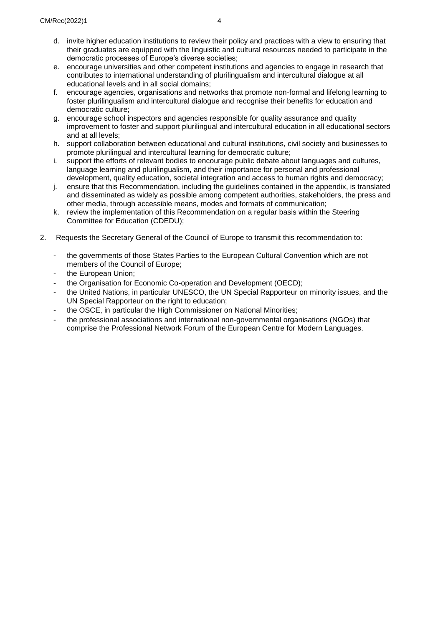- d. invite higher education institutions to review their policy and practices with a view to ensuring that their graduates are equipped with the linguistic and cultural resources needed to participate in the democratic processes of Europe's diverse societies;
- e. encourage universities and other competent institutions and agencies to engage in research that contributes to international understanding of plurilingualism and intercultural dialogue at all educational levels and in all social domains;
- f. encourage agencies, organisations and networks that promote non-formal and lifelong learning to foster plurilingualism and intercultural dialogue and recognise their benefits for education and democratic culture;
- g. encourage school inspectors and agencies responsible for quality assurance and quality improvement to foster and support plurilingual and intercultural education in all educational sectors and at all levels;
- h. support collaboration between educational and cultural institutions, civil society and businesses to promote plurilingual and intercultural learning for democratic culture;
- i. support the efforts of relevant bodies to encourage public debate about languages and cultures, language learning and plurilingualism, and their importance for personal and professional development, quality education, societal integration and access to human rights and democracy;
- j. ensure that this Recommendation, including the guidelines contained in the appendix, is translated and disseminated as widely as possible among competent authorities, stakeholders, the press and other media, through accessible means, modes and formats of communication;
- k. review the implementation of this Recommendation on a regular basis within the Steering Committee for Education (CDEDU);
- 2. Requests the Secretary General of the Council of Europe to transmit this recommendation to:
	- the governments of those States Parties to the European Cultural Convention which are not members of the Council of Europe;
	- the European Union;
	- the Organisation for Economic Co-operation and Development (OECD);
	- the United Nations, in particular UNESCO, the UN Special Rapporteur on minority issues, and the UN Special Rapporteur on the right to education;
	- the OSCE, in particular the High Commissioner on National Minorities;
	- the professional associations and international non-governmental organisations (NGOs) that comprise the Professional Network Forum of the European Centre for Modern Languages.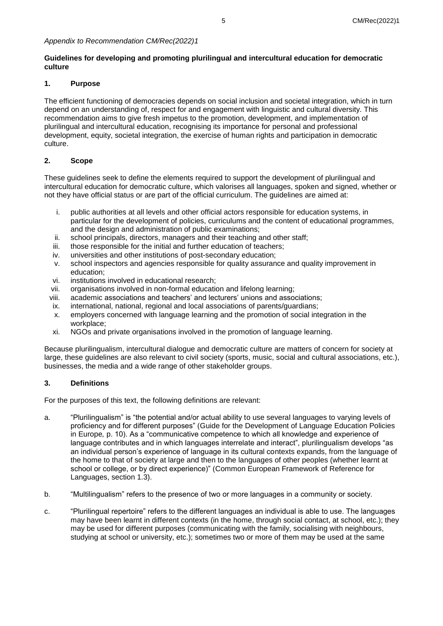# **Guidelines for developing and promoting plurilingual and intercultural education for democratic culture**

# **1. Purpose**

The efficient functioning of democracies depends on social inclusion and societal integration, which in turn depend on an understanding of, respect for and engagement with linguistic and cultural diversity. This recommendation aims to give fresh impetus to the promotion, development, and implementation of plurilingual and intercultural education, recognising its importance for personal and professional development, equity, societal integration, the exercise of human rights and participation in democratic culture.

# **2. Scope**

These guidelines seek to define the elements required to support the development of plurilingual and intercultural education for democratic culture, which valorises all languages, spoken and signed, whether or not they have official status or are part of the official curriculum. The guidelines are aimed at:

- i. public authorities at all levels and other official actors responsible for education systems, in particular for the development of policies, curriculums and the content of educational programmes, and the design and administration of public examinations;
- ii. school principals, directors, managers and their teaching and other staff;
- iii. those responsible for the initial and further education of teachers;
- iv. universities and other institutions of post-secondary education;<br>v. school inspectors and agencies responsible for quality assurance
- school inspectors and agencies responsible for quality assurance and quality improvement in education;
- vi. institutions involved in educational research;
- vii. organisations involved in non-formal education and lifelong learning;
- viii. academic associations and teachers' and lecturers' unions and associations;
- ix. international, national, regional and local associations of parents/guardians;
- x. employers concerned with language learning and the promotion of social integration in the workplace;
- xi. NGOs and private organisations involved in the promotion of language learning.

Because plurilingualism, intercultural dialogue and democratic culture are matters of concern for society at large, these guidelines are also relevant to civil society (sports, music, social and cultural associations, etc.), businesses, the media and a wide range of other stakeholder groups.

# **3. Definitions**

For the purposes of this text, the following definitions are relevant:

- a. "Plurilingualism" is "the potential and/or actual ability to use several languages to varying levels of proficiency and for different purposes" [\(Guide for the Development of Language Education Policies](https://rm.coe.int/CoERMPublicCommonSearchServices/DisplayDCTMContent?documentId=09000016802fc1c4) [in Europe](https://rm.coe.int/CoERMPublicCommonSearchServices/DisplayDCTMContent?documentId=09000016802fc1c4)*,* p. 10). As a "communicative competence to which all knowledge and experience of language contributes and in which languages interrelate and interact", plurilingualism develops "as an individual person's experience of language in its cultural contexts expands, from the language of the home to that of society at large and then to the languages of other peoples (whether learnt at school or college, or by direct experience)" [\(Common European Framework of](https://rm.coe.int/1680459f97) Reference for [Languages,](https://rm.coe.int/1680459f97) section 1.3).
- b. "Multilingualism" refers to the presence of two or more languages in a community or society.
- c. "Plurilingual repertoire" refers to the different languages an individual is able to use. The languages may have been learnt in different contexts (in the home, through social contact, at school, etc.); they may be used for different purposes (communicating with the family, socialising with neighbours, studying at school or university, etc.); sometimes two or more of them may be used at the same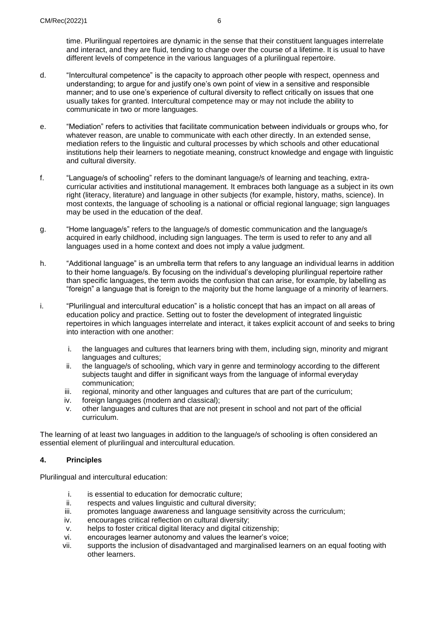time. Plurilingual repertoires are dynamic in the sense that their constituent languages interrelate and interact, and they are fluid, tending to change over the course of a lifetime. It is usual to have different levels of competence in the various languages of a plurilingual repertoire.

- d. "Intercultural competence" is the capacity to approach other people with respect, openness and understanding; to argue for and justify one's own point of view in a sensitive and responsible manner; and to use one's experience of cultural diversity to reflect critically on issues that one usually takes for granted. Intercultural competence may or may not include the ability to communicate in two or more languages.
- e. "Mediation" refers to activities that facilitate communication between individuals or groups who, for whatever reason, are unable to communicate with each other directly. In an extended sense, mediation refers to the linguistic and cultural processes by which schools and other educational institutions help their learners to negotiate meaning, construct knowledge and engage with linguistic and cultural diversity.
- f. "Language/s of schooling" refers to the dominant language/s of learning and teaching, extracurricular activities and institutional management. It embraces both language as a subject in its own right (literacy, literature) and language in other subjects (for example, history, maths, science). In most contexts, the language of schooling is a national or official regional language; sign languages may be used in the education of the deaf.
- g. "Home language/s" refers to the language/s of domestic communication and the language/s acquired in early childhood, including sign languages. The term is used to refer to any and all languages used in a home context and does not imply a value judgment.
- h. "Additional language" is an umbrella term that refers to any language an individual learns in addition to their home language/s. By focusing on the individual's developing plurilingual repertoire rather than specific languages, the term avoids the confusion that can arise, for example, by labelling as "foreign" a language that is foreign to the majority but the home language of a minority of learners.
- i. "Plurilingual and intercultural education" is a holistic concept that has an impact on all areas of education policy and practice. Setting out to foster the development of integrated linguistic repertoires in which languages interrelate and interact, it takes explicit account of and seeks to bring into interaction with one another:
	- i. the languages and cultures that learners bring with them, including sign, minority and migrant languages and cultures;
	- ii. the language/s of schooling, which vary in genre and terminology according to the different subjects taught and differ in significant ways from the language of informal everyday communication;
	- iii. regional, minority and other languages and cultures that are part of the curriculum;
	- iv. foreign languages (modern and classical);
	- v. other languages and cultures that are not present in school and not part of the official curriculum.

The learning of at least two languages in addition to the language/s of schooling is often considered an essential element of plurilingual and intercultural education.

# **4. Principles**

Plurilingual and intercultural education:

- i. is essential to education for democratic culture;
- ii. respects and values linguistic and cultural diversity:
- iii. promotes language awareness and language sensitivity across the curriculum;
- iv. encourages critical reflection on cultural diversity;
- v. helps to foster critical digital literacy and digital citizenship;
- vi. encourages learner autonomy and values the learner's voice;
- vii. supports the inclusion of disadvantaged and marginalised learners on an equal footing with other learners.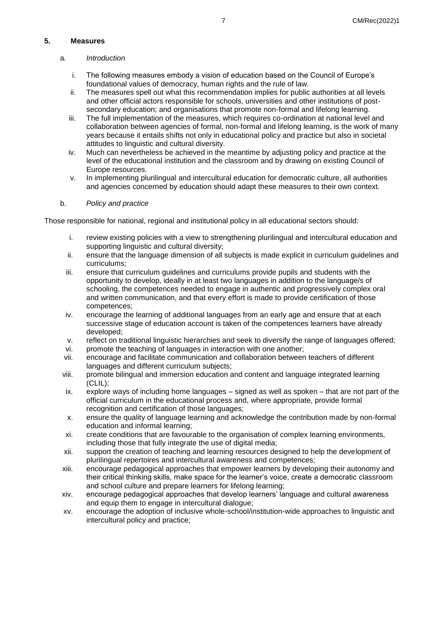# **5. Measures**

- a. *Introduction*
	- i. The following measures embody a vision of education based on the Council of Europe's foundational values of democracy, human rights and the rule of law.
	- ii. The measures spell out what this recommendation implies for public authorities at all levels and other official actors responsible for schools, universities and other institutions of postsecondary education; and organisations that promote non-formal and lifelong learning.
	- iii. The full implementation of the measures, which requires co-ordination at national level and collaboration between agencies of formal, non-formal and lifelong learning, is the work of many years because it entails shifts not only in educational policy and practice but also in societal attitudes to linguistic and cultural diversity.
	- iv. Much can nevertheless be achieved in the meantime by adjusting policy and practice at the level of the educational institution and the classroom and by drawing on existing Council of Europe resources.
	- v. In implementing plurilingual and intercultural education for democratic culture, all authorities and agencies concerned by education should adapt these measures to their own context.

# b. *Policy and practice*

Those responsible for national, regional and institutional policy in all educational sectors should:

- i. review existing policies with a view to strengthening plurilingual and intercultural education and supporting linguistic and cultural diversity;
- ii. ensure that the language dimension of all subjects is made explicit in curriculum guidelines and curriculums;
- iii. ensure that curriculum guidelines and curriculums provide pupils and students with the opportunity to develop, ideally in at least two languages in addition to the language/s of schooling, the competences needed to engage in authentic and progressively complex oral and written communication, and that every effort is made to provide certification of those competences;
- iv. encourage the learning of additional languages from an early age and ensure that at each successive stage of education account is taken of the competences learners have already developed;
- v. reflect on traditional linguistic hierarchies and seek to diversify the range of languages offered;
- vi. promote the teaching of languages in interaction with one another;
- vii. encourage and facilitate communication and collaboration between teachers of different languages and different curriculum subjects;
- viii. promote bilingual and immersion education and content and language integrated learning (CLIL);
- ix. explore ways of including home languages signed as well as spoken that are not part of the official curriculum in the educational process and, where appropriate, provide formal recognition and certification of those languages;
- x. ensure the quality of language learning and acknowledge the contribution made by non-formal education and informal learning;
- xi. create conditions that are favourable to the organisation of complex learning environments, including those that fully integrate the use of digital media;
- xii. support the creation of teaching and learning resources designed to help the development of plurilingual repertoires and intercultural awareness and competences;
- xiii. encourage pedagogical approaches that empower learners by developing their autonomy and their critical thinking skills, make space for the learner's voice, create a democratic classroom and school culture and prepare learners for lifelong learning;
- xiv. encourage pedagogical approaches that develop learners' language and cultural awareness and equip them to engage in intercultural dialogue;
- xv. encourage the adoption of inclusive whole-school/institution-wide approaches to linguistic and intercultural policy and practice;